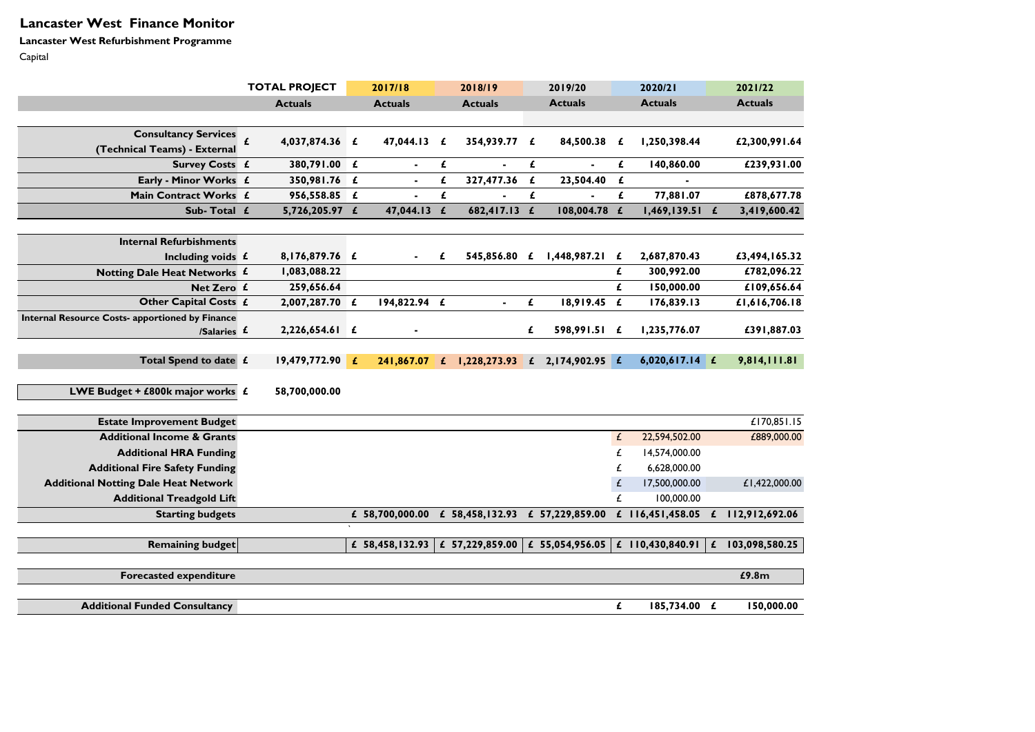# **Lancaster West Finance Monitor**

**Lancaster West Refurbishment Programme** Capital

|                                                        | <b>TOTAL PROJECT</b>               |              | 2017/18                                 |              | 2018/19                         |              | 2019/20           |   | 2020/21                     |   | 2021/22        |
|--------------------------------------------------------|------------------------------------|--------------|-----------------------------------------|--------------|---------------------------------|--------------|-------------------|---|-----------------------------|---|----------------|
|                                                        | <b>Actuals</b>                     |              | <b>Actuals</b>                          |              | <b>Actuals</b>                  |              | <b>Actuals</b>    |   | <b>Actuals</b>              |   | <b>Actuals</b> |
|                                                        |                                    |              |                                         |              |                                 |              |                   |   |                             |   |                |
| <b>Consultancy Services</b>                            | $\pmb{\mathit{f}}$<br>4,037,874.36 | £            | 47,044.13                               | £            | 354,939.77                      | £            | 84,500.38         | £ | 1,250,398.44                |   | £2,300,991.64  |
| (Technical Teams) - External                           |                                    |              |                                         |              |                                 |              |                   |   |                             |   |                |
| <b>Survey Costs £</b>                                  | 380,791.00 £                       |              | $\sim$                                  | £            | $\sim$                          | £            | $\sim$            | £ | 140,860.00                  |   | £239,931.00    |
| Early - Minor Works £                                  | 350,981.76 £                       |              | $\blacksquare$                          | £            | 327,477.36                      | £            | 23,504.40         | £ |                             |   |                |
| Main Contract Works £                                  | 956,558.85                         | £            | $\sim$                                  | £            | $\sim$                          | £            | $\blacksquare$    | £ | 77,881.07                   |   | £878,677.78    |
| Sub-Total £                                            | 5,726,205.97 £                     |              | 47,044.13                               | £            | 682,417.13 £                    |              | 108,004.78 £      |   | 1,469,139.51                | £ | 3,419,600.42   |
| <b>Internal Refurbishments</b>                         |                                    |              |                                         |              |                                 |              |                   |   |                             |   |                |
| Including voids $f$                                    | 8,176,879.76 £                     |              | $\sim$                                  | £            | 545,856.80                      | £            | 1,448,987.21      | £ | 2,687,870.43                |   | £3,494,165.32  |
| Notting Dale Heat Networks £                           | 1,083,088.22                       |              |                                         |              |                                 |              |                   | £ | 300,992.00                  |   | £782,096.22    |
| Net Zero £                                             | 259,656.64                         |              |                                         |              |                                 |              |                   | £ | 150,000.00                  |   | £109,656.64    |
| Other Capital Costs £                                  | 2,007,287.70 £                     |              | 194,822.94 £                            |              | $\sim$                          | £            | 18,919.45         | £ | 176,839.13                  |   | £1,616,706.18  |
| <b>Internal Resource Costs- apportioned by Finance</b> |                                    |              |                                         |              |                                 |              |                   |   |                             |   |                |
| /Salaries £                                            | $2,226,654.61$ £                   |              | $\sim$                                  |              |                                 | £            | 598,991.51 £      |   | 1,235,776.07                |   | £391,887.03    |
|                                                        |                                    |              |                                         |              |                                 |              |                   |   |                             |   |                |
| Total Spend to date £                                  | 19,479,772.90                      | $\mathbf{f}$ | 241,867.07                              | $\mathbf{f}$ | 1,228,273.93                    | $\mathbf{f}$ | $2,174,902.95$ £  |   | $6,020,617.14$ £            |   | 9,814,111.81   |
| LWE Budget + £800k major works $f$                     | 58,700,000.00                      |              |                                         |              |                                 |              |                   |   |                             |   |                |
|                                                        |                                    |              |                                         |              |                                 |              |                   |   |                             |   |                |
| <b>Estate Improvement Budget</b>                       |                                    |              |                                         |              |                                 |              |                   |   |                             |   | £170,851.15    |
| <b>Additional Income &amp; Grants</b>                  |                                    |              |                                         |              |                                 |              |                   | £ | 22,594,502.00               |   | £889,000.00    |
| <b>Additional HRA Funding</b>                          |                                    |              |                                         |              |                                 |              |                   |   | 14,574,000.00               |   |                |
| <b>Additional Fire Safety Funding</b>                  |                                    |              |                                         |              |                                 |              |                   | £ | 6,628,000.00                |   |                |
| <b>Additional Notting Dale Heat Network</b>            |                                    |              |                                         |              |                                 |              |                   | £ | 17,500,000.00               |   | £1,422,000.00  |
| <b>Additional Treadgold Lift</b>                       |                                    |              |                                         |              |                                 |              |                   | £ | 100,000.00                  |   |                |
| <b>Starting budgets</b>                                |                                    |              | £ 58,700,000.00                         |              | £ 58,458,132.93 £ 57,229,859.00 |              |                   |   | £ $116,451,458.05$          | £ | 112,912,692.06 |
|                                                        |                                    |              |                                         |              |                                 |              |                   |   |                             |   |                |
| <b>Remaining budget</b>                                |                                    |              | £ 58,458,132.93 $\vert$ £ 57,229,859.00 |              |                                 |              | £ $55,054,956.05$ |   | £ 110,430,840.91 $\pm$      |   | 103,098,580.25 |
| <b>Forecasted expenditure</b>                          |                                    |              |                                         |              |                                 |              |                   |   |                             |   | £9.8m          |
|                                                        |                                    |              |                                         |              |                                 |              |                   |   |                             |   |                |
| <b>Additional Funded Consultancy</b>                   |                                    |              |                                         |              |                                 |              |                   | £ | $185,734.00 \quad \text{£}$ |   | 150,000.00     |